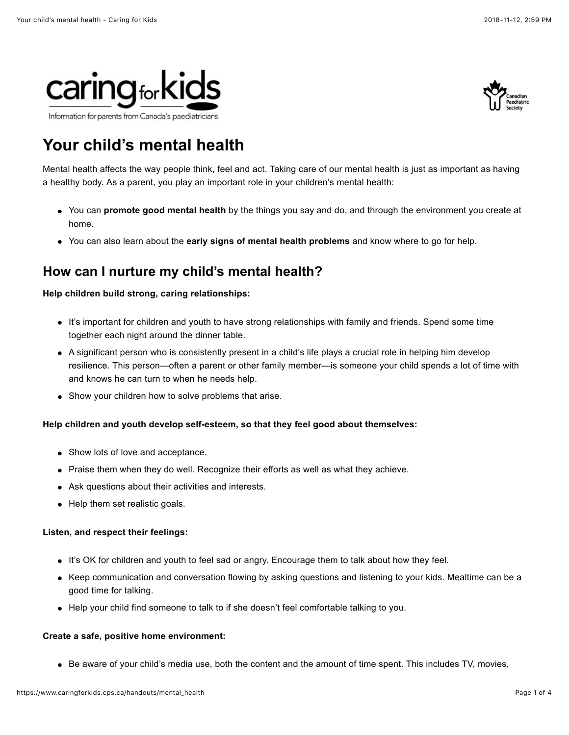



# **Your child's mental health**

Mental health affects the way people think, feel and act. Taking care of our mental health is just as important as having a healthy body. As a parent, you play an important role in your children's mental health:

- You can **promote good mental health** by the things you say and do, and through the environment you create at home.
- You can also learn about the **early signs of mental health problems** and know where to go for help.

# **How can I nurture my child's mental health?**

#### **Help children build strong, caring relationships:**

- It's important for children and youth to have strong relationships with family and friends. Spend some time together each night around the dinner table.
- A significant person who is consistently present in a child's life plays a crucial role in helping him develop resilience. This person—often a parent or other family member—is someone your child spends a lot of time with and knows he can turn to when he needs help.
- Show your children how to solve problems that arise.

#### **Help children and youth develop [self-esteem,](https://www.caringforkids.cps.ca/handouts/foster_self_esteem) so that they feel good about themselves:**

- Show lots of love and acceptance.
- Praise them when they do well. Recognize their efforts as well as what they achieve.
- Ask questions about their activities and interests.
- Help them set realistic goals.

#### **Listen, and respect their feelings:**

- It's OK for children and youth to feel sad or angry. Encourage them to talk about how they feel.
- Keep communication and conversation flowing by asking questions and listening to your kids. Mealtime can be a good time for talking.
- Help your child find someone to talk to if she doesn't feel comfortable talking to you.

#### **Create a safe, positive home environment:**

Be aware of your child's media use, both the content and the amount of time spent. This includes TV, movies,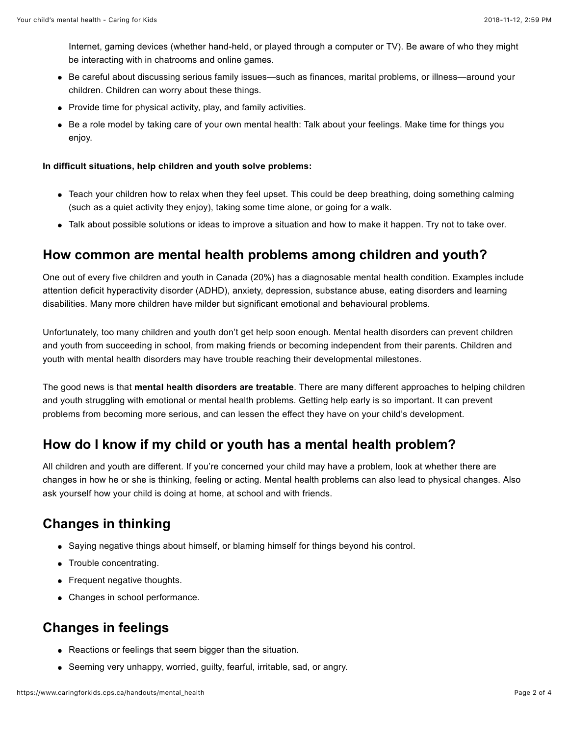Internet, gaming devices (whether hand-held, or played through a computer or TV). Be aware of who they might be interacting with in chatrooms and online games.

- Be careful about discussing serious family issues—such as finances, marital problems, or illness—around your children. Children can worry about these things.
- Provide time for physical activity, play, and family activities.
- Be a role model by taking care of your own mental health: Talk about your feelings. Make time for things you enjoy.

#### **In difficult situations, help children and youth solve problems:**

- Teach your children how to relax when they feel upset. This could be deep breathing, doing something calming (such as a quiet activity they enjoy), taking some time alone, or going for a walk.
- Talk about possible solutions or ideas to improve a situation and how to make it happen. Try not to take over.

#### **How common are mental health problems among children and youth?**

One out of every five children and youth in Canada (20%) has a diagnosable mental health condition. Examples include attention deficit hyperactivity disorder (ADHD), anxiety, depression, substance abuse, eating disorders and learning disabilities. Many more children have milder but significant emotional and behavioural problems.

Unfortunately, too many children and youth don't get help soon enough. Mental health disorders can prevent children and youth from succeeding in school, from making friends or becoming independent from their parents. Children and youth with mental health disorders may have trouble reaching their developmental milestones.

The good news is that **mental health disorders are treatable**. There are many different approaches to helping children and youth struggling with emotional or mental health problems. Getting help early is so important. It can prevent problems from becoming more serious, and can lessen the effect they have on your child's development.

### **How do I know if my child or youth has a mental health problem?**

All children and youth are different. If you're concerned your child may have a problem, look at whether there are changes in how he or she is thinking, feeling or acting. Mental health problems can also lead to physical changes. Also ask yourself how your child is doing at home, at school and with friends.

# **Changes in thinking**

- Saying negative things about himself, or blaming himself for things beyond his control.
- Trouble concentrating.
- Frequent negative thoughts.
- Changes in school performance.

### **Changes in feelings**

- Reactions or feelings that seem bigger than the situation.
- Seeming very unhappy, worried, guilty, fearful, irritable, sad, or angry.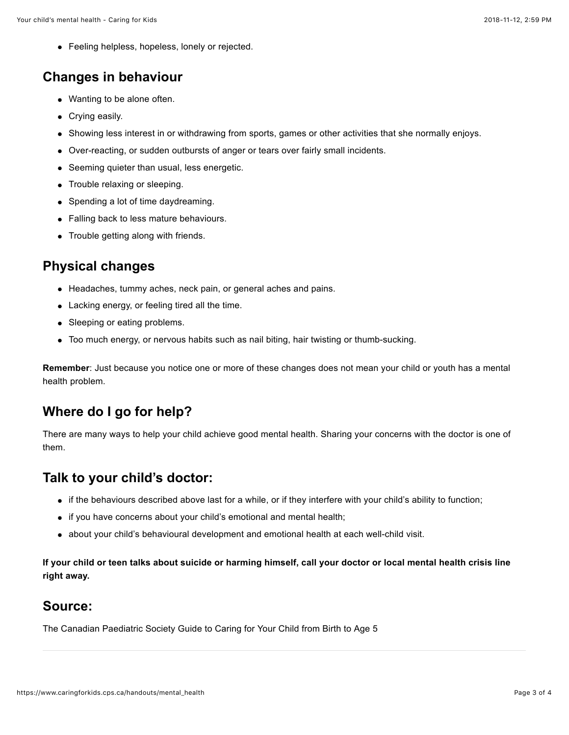Feeling helpless, hopeless, lonely or rejected.

### **Changes in behaviour**

- Wanting to be alone often.
- Crying easily.
- Showing less interest in or withdrawing from sports, games or other activities that she normally enjoys.
- Over-reacting, or sudden outbursts of anger or tears over fairly small incidents.
- Seeming quieter than usual, less energetic.
- Trouble relaxing or sleeping.
- Spending a lot of time daydreaming.
- Falling back to less mature behaviours.
- Trouble getting along with friends.

### **Physical changes**

- Headaches, tummy aches, neck pain, or general aches and pains.
- Lacking energy, or feeling tired all the time.
- Sleeping or eating problems.
- Too much energy, or nervous habits such as nail biting, hair twisting or thumb-sucking.

**Remember**: Just because you notice one or more of these changes does not mean your child or youth has a mental health problem.

# **Where do I go for help?**

There are many ways to help your child achieve good mental health. Sharing your concerns with the doctor is one of them.

### **Talk to your child's doctor:**

- if the behaviours described above last for a while, or if they interfere with your child's ability to function;
- if you have concerns about your child's emotional and mental health;
- about your child's behavioural development and emotional health at each well-child visit.

**If your child or teen talks about suicide or harming himself, call your doctor or local mental health crisis line right away.**

#### **Source:**

[The Canadian Paediatric Society Guide to Caring for Your Child from Birth to Age 5](http://www.web.cps.ca/English/publications/bookstore/BirthToAgeFive.htm)